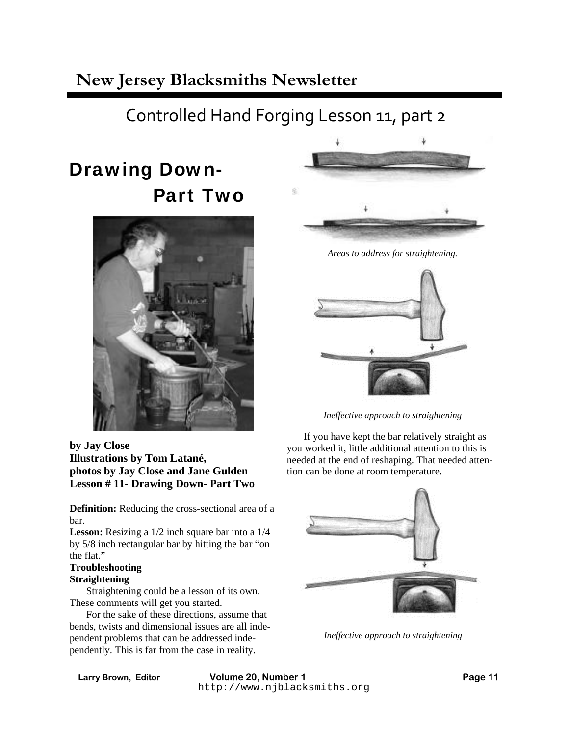# Controlled Hand Forging Lesson 11, part 2

# Drawing Down- Part Two



**by Jay Close Illustrations by Tom Latané, photos by Jay Close and Jane Gulden Lesson # 11- Drawing Down- Part Two** 

**Definition:** Reducing the cross-sectional area of a bar.

**Lesson:** Resizing a 1/2 inch square bar into a 1/4 by 5/8 inch rectangular bar by hitting the bar "on the flat."

### **Troubleshooting**

### **Straightening**

 Straightening could be a lesson of its own. These comments will get you started.

 For the sake of these directions, assume that bends, twists and dimensional issues are all independent problems that can be addressed independently. This is far from the case in reality.



*Ineffective approach to straightening*

 If you have kept the bar relatively straight as you worked it, little additional attention to this is needed at the end of reshaping. That needed attention can be done at room temperature.



*Ineffective approach to straightening*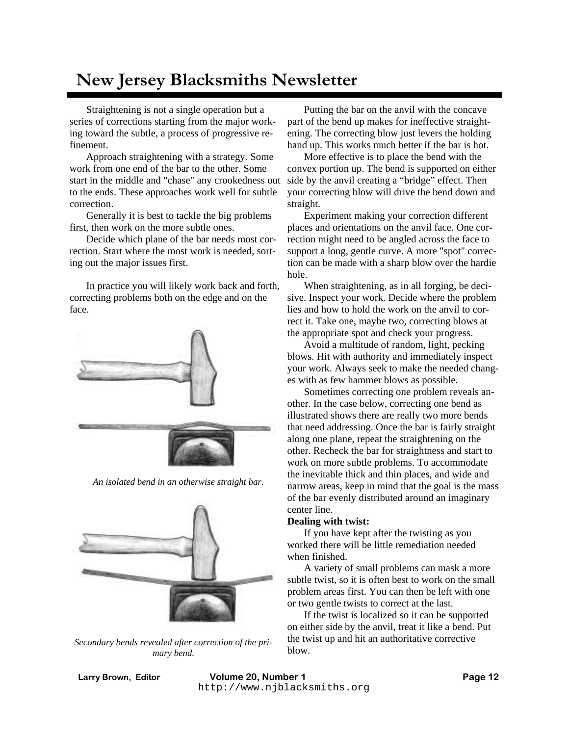Straightening is not a single operation but a series of corrections starting from the major working toward the subtle, a process of progressive refinement.

 Approach straightening with a strategy. Some work from one end of the bar to the other. Some start in the middle and "chase" any crookedness out to the ends. These approaches work well for subtle correction.

 Generally it is best to tackle the big problems first, then work on the more subtle ones.

 Decide which plane of the bar needs most correction. Start where the most work is needed, sorting out the major issues first.

 In practice you will likely work back and forth, correcting problems both on the edge and on the face.



*An isolated bend in an otherwise straight bar.*



*Secondary bends revealed after correction of the primary bend.*

 Putting the bar on the anvil with the concave part of the bend up makes for ineffective straightening. The correcting blow just levers the holding hand up. This works much better if the bar is hot.

 More effective is to place the bend with the convex portion up. The bend is supported on either side by the anvil creating a "bridge" effect. Then your correcting blow will drive the bend down and straight.

 Experiment making your correction different places and orientations on the anvil face. One correction might need to be angled across the face to support a long, gentle curve. A more "spot" correction can be made with a sharp blow over the hardie hole.

 When straightening, as in all forging, be decisive. Inspect your work. Decide where the problem lies and how to hold the work on the anvil to correct it. Take one, maybe two, correcting blows at the appropriate spot and check your progress.

 Avoid a multitude of random, light, pecking blows. Hit with authority and immediately inspect your work. Always seek to make the needed changes with as few hammer blows as possible.

 Sometimes correcting one problem reveals another. In the case below, correcting one bend as illustrated shows there are really two more bends that need addressing. Once the bar is fairly straight along one plane, repeat the straightening on the other. Recheck the bar for straightness and start to work on more subtle problems. To accommodate the inevitable thick and thin places, and wide and narrow areas, keep in mind that the goal is the mass of the bar evenly distributed around an imaginary center line.

#### **Dealing with twist:**

If you have kept after the twisting as you worked there will be little remediation needed when finished.

 A variety of small problems can mask a more subtle twist, so it is often best to work on the small problem areas first. You can then be left with one or two gentle twists to correct at the last.

 If the twist is localized so it can be supported on either side by the anvil, treat it like a bend. Put the twist up and hit an authoritative corrective blow.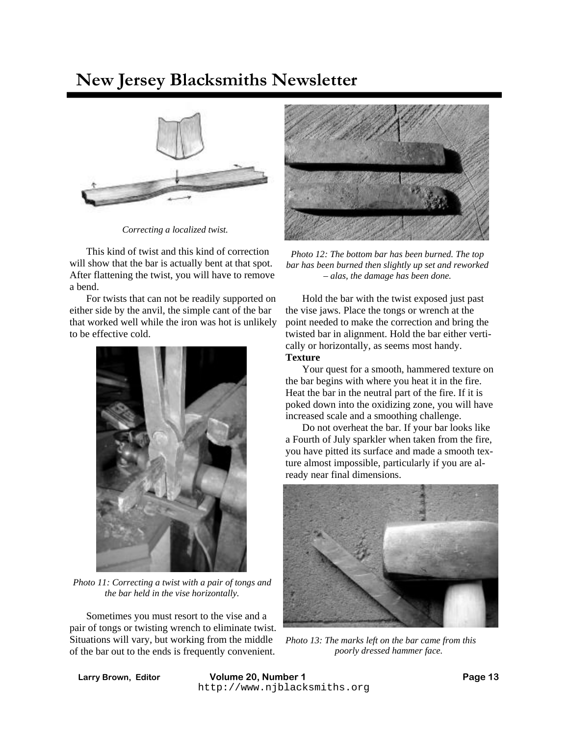

*Correcting a localized twist.*

 This kind of twist and this kind of correction will show that the bar is actually bent at that spot. After flattening the twist, you will have to remove a bend.

 For twists that can not be readily supported on either side by the anvil, the simple cant of the bar that worked well while the iron was hot is unlikely to be effective cold.



*Photo 11: Correcting a twist with a pair of tongs and the bar held in the vise horizontally.*

 Sometimes you must resort to the vise and a pair of tongs or twisting wrench to eliminate twist. Situations will vary, but working from the middle of the bar out to the ends is frequently convenient.



*Photo 12: The bottom bar has been burned. The top bar has been burned then slightly up set and reworked – alas, the damage has been done.*

 Hold the bar with the twist exposed just past the vise jaws. Place the tongs or wrench at the point needed to make the correction and bring the twisted bar in alignment. Hold the bar either vertically or horizontally, as seems most handy. **Texture** 

Your quest for a smooth, hammered texture on the bar begins with where you heat it in the fire. Heat the bar in the neutral part of the fire. If it is poked down into the oxidizing zone, you will have increased scale and a smoothing challenge.

 Do not overheat the bar. If your bar looks like a Fourth of July sparkler when taken from the fire, you have pitted its surface and made a smooth texture almost impossible, particularly if you are already near final dimensions.



*Photo 13: The marks left on the bar came from this poorly dressed hammer face.*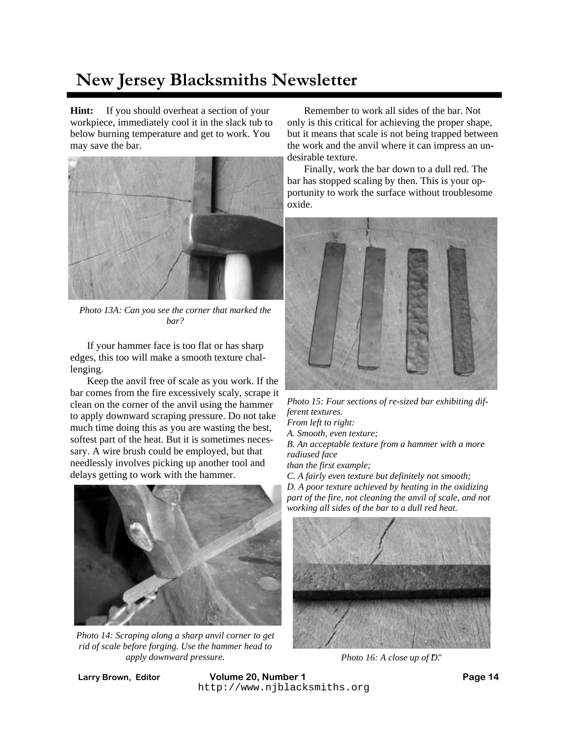**Hint:** If you should overheat a section of your workpiece, immediately cool it in the slack tub to below burning temperature and get to work. You may save the bar.



*Photo 13A: Can you see the corner that marked the bar?*

 If your hammer face is too flat or has sharp edges, this too will make a smooth texture challenging.

 Keep the anvil free of scale as you work. If the bar comes from the fire excessively scaly, scrape it clean on the corner of the anvil using the hammer to apply downward scraping pressure. Do not take much time doing this as you are wasting the best, softest part of the heat. But it is sometimes necessary. A wire brush could be employed, but that needlessly involves picking up another tool and delays getting to work with the hammer.



*Photo 14: Scraping along a sharp anvil corner to get rid of scale before forging. Use the hammer head to apply downward pressure.*

 Remember to work all sides of the bar. Not only is this critical for achieving the proper shape, but it means that scale is not being trapped between the work and the anvil where it can impress an undesirable texture.

 Finally, work the bar down to a dull red. The bar has stopped scaling by then. This is your opportunity to work the surface without troublesome oxide.



*Photo 15: Four sections of re-sized bar exhibiting different textures. From left to right: A. Smooth, even texture; B. An acceptable texture from a hammer with a more radiused face than the first example; C. A fairly even texture but definitely not smooth; D. A poor texture achieved by heating in the oxidizing part of the fire, not cleaning the anvil of scale, and not* 



*Photo 16: A close up of D."* 

Larry Brown, Editor **Volume 20, Number 1** http://www.njblacksmiths.org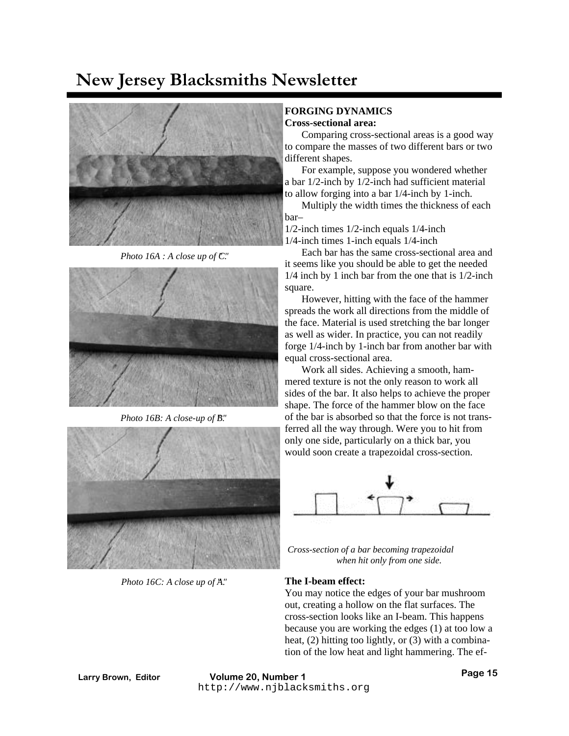

*Photo 16A : A close up of*  $\mathbb{C}$ *."* 



*Photo 16B: A close-up of B."* 



*Photo 16C: A close up of A."* 

#### **FORGING DYNAMICS Cross-sectional area:**

 Comparing cross-sectional areas is a good way to compare the masses of two different bars or two different shapes.

 For example, suppose you wondered whether a bar 1/2-inch by 1/2-inch had sufficient material to allow forging into a bar 1/4-inch by 1-inch.

 Multiply the width times the thickness of each bar–

1/2-inch times 1/2-inch equals 1/4-inch

1/4-inch times 1-inch equals 1/4-inch

 Each bar has the same cross-sectional area and it seems like you should be able to get the needed 1/4 inch by 1 inch bar from the one that is 1/2-inch square.

 However, hitting with the face of the hammer spreads the work all directions from the middle of the face. Material is used stretching the bar longer as well as wider. In practice, you can not readily forge 1/4-inch by 1-inch bar from another bar with equal cross-sectional area.

 Work all sides. Achieving a smooth, hammered texture is not the only reason to work all sides of the bar. It also helps to achieve the proper shape. The force of the hammer blow on the face of the bar is absorbed so that the force is not transferred all the way through. Were you to hit from only one side, particularly on a thick bar, you would soon create a trapezoidal cross-section.



*Cross-section of a bar becoming trapezoidal when hit only from one side.*

### **The I-beam effect:**

You may notice the edges of your bar mushroom out, creating a hollow on the flat surfaces. The cross-section looks like an I-beam. This happens because you are working the edges (1) at too low a heat, (2) hitting too lightly, or (3) with a combination of the low heat and light hammering. The ef-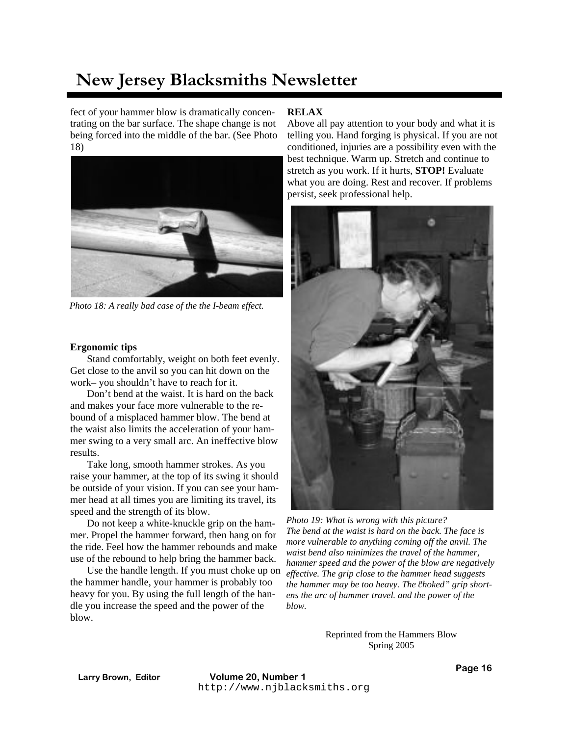fect of your hammer blow is dramatically concentrating on the bar surface. The shape change is not being forced into the middle of the bar. (See Photo 18)



*Photo 18: A really bad case of the the I-beam effect.*

#### **Ergonomic tips**

Stand comfortably, weight on both feet evenly. Get close to the anvil so you can hit down on the work– you shouldn't have to reach for it.

 Don't bend at the waist. It is hard on the back and makes your face more vulnerable to the rebound of a misplaced hammer blow. The bend at the waist also limits the acceleration of your hammer swing to a very small arc. An ineffective blow results.

 Take long, smooth hammer strokes. As you raise your hammer, at the top of its swing it should be outside of your vision. If you can see your hammer head at all times you are limiting its travel, its speed and the strength of its blow.

 Do not keep a white-knuckle grip on the hammer. Propel the hammer forward, then hang on for the ride. Feel how the hammer rebounds and make use of the rebound to help bring the hammer back.

 Use the handle length. If you must choke up on the hammer handle, your hammer is probably too heavy for you. By using the full length of the handle you increase the speed and the power of the blow.

### **RELAX**

Above all pay attention to your body and what it is telling you. Hand forging is physical. If you are not conditioned, injuries are a possibility even with the best technique. Warm up. Stretch and continue to stretch as you work. If it hurts, **STOP!** Evaluate what you are doing. Rest and recover. If problems persist, seek professional help.



*Photo 19: What is wrong with this picture? The bend at the waist is hard on the back. The face is more vulnerable to anything coming off the anvil. The waist bend also minimizes the travel of the hammer, hammer speed and the power of the blow are negatively effective. The grip close to the hammer head suggests*  the hammer may be too heavy. The choked" grip short*ens the arc of hammer travel. and the power of the blow.* 

Reprinted from the Hammers Blow Spring 2005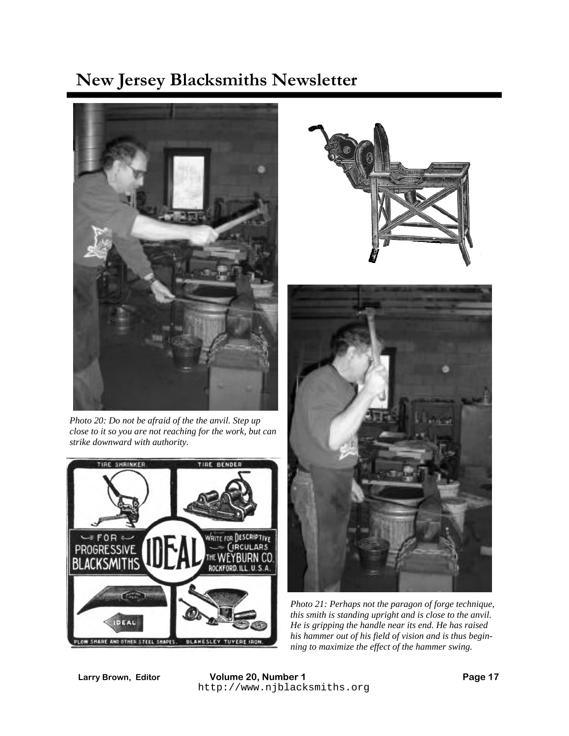

*Photo 20: Do not be afraid of the the anvil. Step up close to it so you are not reaching for the work, but can strike downward with authority.*







*Photo 21: Perhaps not the paragon of forge technique, this smith is standing upright and is close to the anvil. He is gripping the handle near its end. He has raised his hammer out of his field of vision and is thus beginning to maximize the effect of the hammer swing.*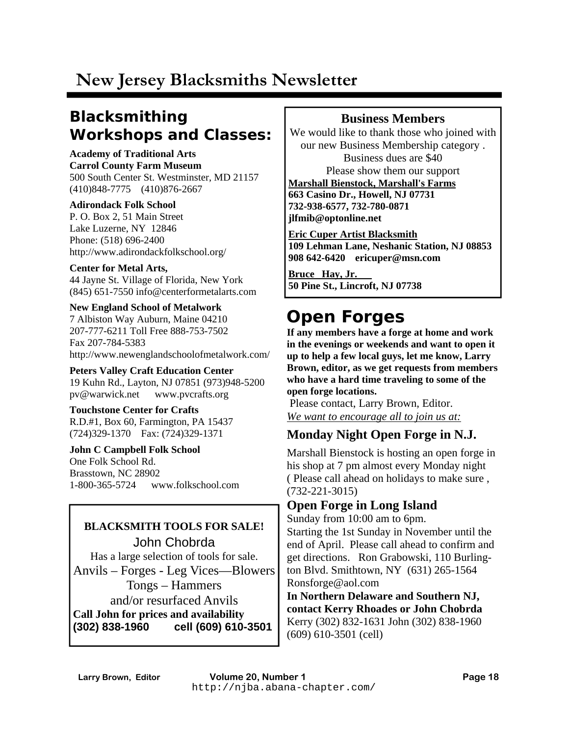## **Blacksmithing Workshops and Classes:**

### **Academy of Traditional Arts Carrol County Farm Museum**  500 South Center St. Westminster, MD 21157

(410)848-7775 (410)876-2667

### **Adirondack Folk School**

P. O. Box 2, 51 Main Street Lake Luzerne, NY 12846 Phone: (518) 696-2400 http://www.adirondackfolkschool.org/

### **Center for Metal Arts,**

44 Jayne St. Village of Florida, New York (845) 651-7550 info@centerformetalarts.com

### **New England School of Metalwork**  7 Albiston Way Auburn, Maine 04210

207-777-6211 Toll Free 888-753-7502 Fax 207-784-5383 http://www.newenglandschoolofmetalwork.com/

**Peters Valley Craft Education Center**  19 Kuhn Rd., Layton, NJ 07851 (973)948-5200 pv@warwick.net www.pvcrafts.org

### **Touchstone Center for Crafts**  R.D.#1, Box 60, Farmington, PA 15437

(724)329-1370 Fax: (724)329-1371

### **John C Campbell Folk School**  One Folk School Rd. Brasstown, NC 28902 1-800-365-5724 www.folkschool.com

## **BLACKSMITH TOOLS FOR SALE!**

John Chobrda Has a large selection of tools for sale. Anvils – Forges - Leg Vices—Blowers Tongs – Hammers and/or resurfaced Anvils **Call John for prices and availability (302) 838-1960 cell (609) 610-3501** 

### **Business Members**

We would like to thank those who joined with our new Business Membership category . Business dues are \$40 Please show them our support **Marshall Bienstock, Marshall's Farms 663 Casino Dr., Howell, NJ 07731 732-938-6577, 732-780-0871 jlfmib@optonline.net** 

**Eric Cuper Artist Blacksmith 109 Lehman Lane, Neshanic Station, NJ 08853 908 642-6420 ericuper@msn.com** 

**Bruce Hay, Jr. 50 Pine St., Lincroft, NJ 07738** 

# **Open Forges**

**If any members have a forge at home and work in the evenings or weekends and want to open it up to help a few local guys, let me know, Larry Brown, editor, as we get requests from members who have a hard time traveling to some of the open forge locations.** 

 Please contact, Larry Brown, Editor. *We want to encourage all to join us at:* 

### **Monday Night Open Forge in N.J.**

Marshall Bienstock is hosting an open forge in his shop at 7 pm almost every Monday night ( Please call ahead on holidays to make sure , (732-221-3015)

### **Open Forge in Long Island**

Sunday from 10:00 am to 6pm.

Starting the 1st Sunday in November until the end of April. Please call ahead to confirm and get directions. Ron Grabowski, 110 Burlington Blvd. Smithtown, NY (631) 265-1564 Ronsforge@aol.com

**In Northern Delaware and Southern NJ, contact Kerry Rhoades or John Chobrda**  Kerry (302) 832-1631 John (302) 838-1960 (609) 610-3501 (cell)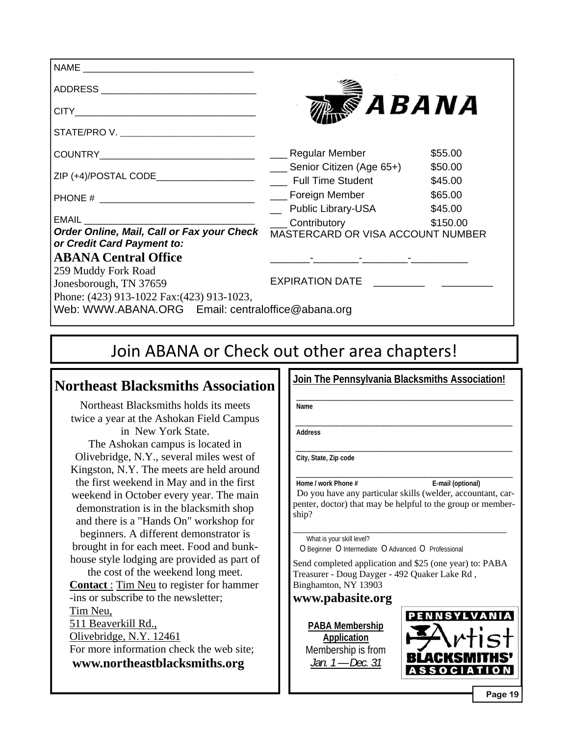| ADDRESS __________________________________                               |                                                 |          |
|--------------------------------------------------------------------------|-------------------------------------------------|----------|
|                                                                          | <i><b>SABANA</b></i>                            |          |
| STATE/PRO V. _______________________________                             |                                                 |          |
|                                                                          |                                                 | \$55.00  |
|                                                                          | Senior Citizen (Age 65+)                        | \$50.00  |
|                                                                          |                                                 | \$45.00  |
|                                                                          | ___ Foreign Member                              | \$65.00  |
|                                                                          | <b>Public Library-USA</b>                       | \$45.00  |
| <b>EMAIL</b>                                                             | <b>Contributory Contributory</b>                | \$150.00 |
| Order Online, Mail, Call or Fax your Check<br>or Credit Card Payment to: | MASTERCARD OR VISA ACCOUNT NUMBER               |          |
| <b>ABANA Central Office</b>                                              | the contract of the contract of the contract of |          |
| 259 Muddy Fork Road<br>Jonesborough, TN 37659                            | EXPIRATION DATE                                 |          |
| Phone: (423) 913-1022 Fax: (423) 913-1023,                               |                                                 |          |
| Web: WWW.ABANA.ORG Email: centraloffice@abana.org                        |                                                 |          |
|                                                                          |                                                 |          |
|                                                                          |                                                 |          |

## Join ABANA or Check out other area chapters!

### **Northeast Blacksmiths Association**

Northeast Blacksmiths holds its meets twice a year at the Ashokan Field Campus in New York State. The Ashokan campus is located in Olivebridge, N.Y., several miles west of Kingston, N.Y. The meets are held around the first weekend in May and in the first weekend in October every year. The main demonstration is in the blacksmith shop and there is a "Hands On" workshop for beginners. A different demonstrator is brought in for each meet. Food and bunkhouse style lodging are provided as part of the cost of the weekend long meet. **Contact** : Tim Neu to register for hammer -ins or subscribe to the newsletter; Tim Neu,

511 Beaverkill Rd., Olivebridge, N.Y. 12461 For more information check the web site; **www.northeastblacksmiths.org**

**Join The Pennsylvania Blacksmiths Association!** 

 **\_\_\_\_\_\_\_\_\_\_\_\_\_\_\_\_\_\_\_\_\_\_\_\_\_\_\_\_\_\_\_\_ Name** 

**\_\_\_\_\_\_\_\_\_\_\_\_\_\_\_\_\_\_\_\_\_\_\_\_\_\_\_\_\_\_\_\_ Address** 

**\_\_\_\_\_\_\_\_\_\_\_\_\_\_\_\_\_\_\_\_\_\_\_\_\_\_\_\_\_\_\_\_ City, State, Zip code** 

**Home / work Phone # E-mail (optional)** Do you have any particular skills (welder, accountant, carpenter, doctor) that may be helpful to the group or membership?

**\_\_\_\_\_\_\_\_\_\_\_\_\_\_\_\_\_\_\_\_\_\_\_\_\_\_\_\_\_\_\_\_\_\_\_\_** What is your skill level?

O Beginner O Intermediate O Advanced O Professional

Send completed application and \$25 (one year) to: PABA Treasurer - Doug Dayger - 492 Quaker Lake Rd , Binghamton, NY 13903

**www.pabasite.org** 

**PABA Membership Application**  Membership is from *Jan. 1 — Dec. 31*